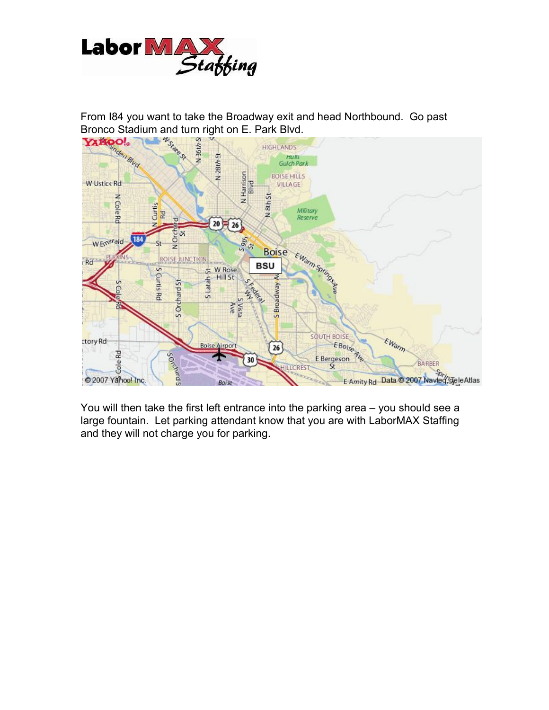



You will then take the first left entrance into the parking area – you should see a large fountain. Let parking attendant know that you are with LaborMAX Staffing and they will not charge you for parking.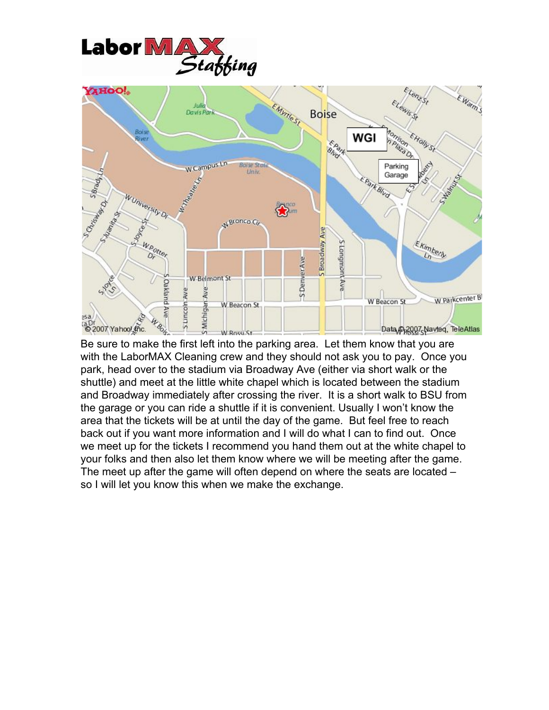



Be sure to make the first left into the parking area. Let them know that you are with the LaborMAX Cleaning crew and they should not ask you to pay. Once you park, head over to the stadium via Broadway Ave (either via short walk or the shuttle) and meet at the little white chapel which is located between the stadium and Broadway immediately after crossing the river. It is a short walk to BSU from the garage or you can ride a shuttle if it is convenient. Usually I won't know the area that the tickets will be at until the day of the game. But feel free to reach back out if you want more information and I will do what I can to find out. Once we meet up for the tickets I recommend you hand them out at the white chapel to your folks and then also let them know where we will be meeting after the game. The meet up after the game will often depend on where the seats are located – so I will let you know this when we make the exchange.